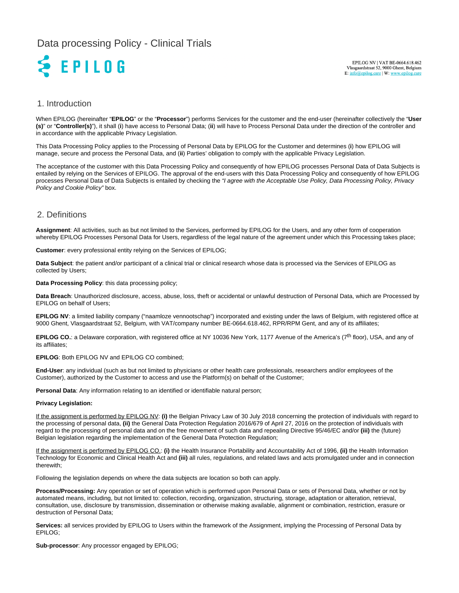# Data processing Policy - Clinical Trials



EPILOG NV | VAT BE-0664.618.462<br>Vlasgaardstraat 52, 9000 Ghent, Belgium E: info@epilog.care | W: www.epilog.care

#### 1. Introduction

When EPILOG (hereinafter "**EPILOG**" or the "**Processor**") performs Services for the customer and the end-user (hereinafter collectively the "**User (s)**" or "**Controller(s)**"), it shall (**i**) have access to Personal Data; (**ii**) will have to Process Personal Data under the direction of the controller and in accordance with the applicable Privacy Legislation.

This Data Processing Policy applies to the Processing of Personal Data by EPILOG for the Customer and determines (**i**) how EPILOG will manage, secure and process the Personal Data, and (**ii**) Parties' obligation to comply with the applicable Privacy Legislation.

The acceptance of the customer with this Data Processing Policy and consequently of how EPILOG processes Personal Data of Data Subjects is entailed by relying on the Services of EPILOG. The approval of the end-users with this Data Processing Policy and consequently of how EPILOG processes Personal Data of Data Subjects is entailed by checking the "I agree with the Acceptable Use Policy, Data Processing Policy, Privacy Policy and Cookie Policy" box.

### 2. Definitions

**Assignment**: All activities, such as but not limited to the Services, performed by EPILOG for the Users, and any other form of cooperation whereby EPILOG Processes Personal Data for Users, regardless of the legal nature of the agreement under which this Processing takes place;

**Customer**: every professional entity relying on the Services of EPILOG;

**Data Subject**: the patient and/or participant of a clinical trial or clinical research whose data is processed via the Services of EPILOG as collected by Users;

**Data Processing Policy**: this data processing policy;

**Data Breach**: Unauthorized disclosure, access, abuse, loss, theft or accidental or unlawful destruction of Personal Data, which are Processed by EPILOG on behalf of Users;

**EPILOG NV**: a limited liability company ("naamloze vennootschap") incorporated and existing under the laws of Belgium, with registered office at 9000 Ghent, Vlasgaardstraat 52, Belgium, with VAT/company number BE-0664.618.462, RPR/RPM Gent, and any of its affiliates;

EPILOG CO.: a Delaware corporation, with registered office at NY 10036 New York, 1177 Avenue of the America's (7<sup>th</sup> floor), USA, and any of its affiliates;

**EPILOG**: Both EPILOG NV and EPILOG CO combined;

**End-User**: any individual (such as but not limited to physicians or other health care professionals, researchers and/or employees of the Customer), authorized by the Customer to access and use the Platform(s) on behalf of the Customer;

**Personal Data**: Any information relating to an identified or identifiable natural person;

#### **Privacy Legislation:**

If the assignment is performed by EPILOG NV: **(i)** the Belgian Privacy Law of 30 July 2018 concerning the protection of individuals with regard to the processing of personal data, **(ii)** the General Data Protection Regulation 2016/679 of April 27, 2016 on the protection of individuals with regard to the processing of personal data and on the free movement of such data and repealing Directive 95/46/EC and/or **(iii)** the (future) Belgian legislation regarding the implementation of the General Data Protection Regulation;

If the assignment is performed by EPILOG CO.: **(i)** the Health Insurance Portability and Accountability Act of 1996, **(ii)** the Health Information Technology for Economic and Clinical Health Act and **(iii)** all rules, regulations, and related laws and acts promulgated under and in connection therewith;

Following the legislation depends on where the data subjects are location so both can apply.

**Process/Processing:** Any operation or set of operation which is performed upon Personal Data or sets of Personal Data, whether or not by automated means, including, but not limited to: collection, recording, organization, structuring, storage, adaptation or alteration, retrieval, consultation, use, disclosure by transmission, dissemination or otherwise making available, alignment or combination, restriction, erasure or destruction of Personal Data;

**Services:** all services provided by EPILOG to Users within the framework of the Assignment, implying the Processing of Personal Data by EPILOG;

**Sub-processor**: Any processor engaged by EPILOG;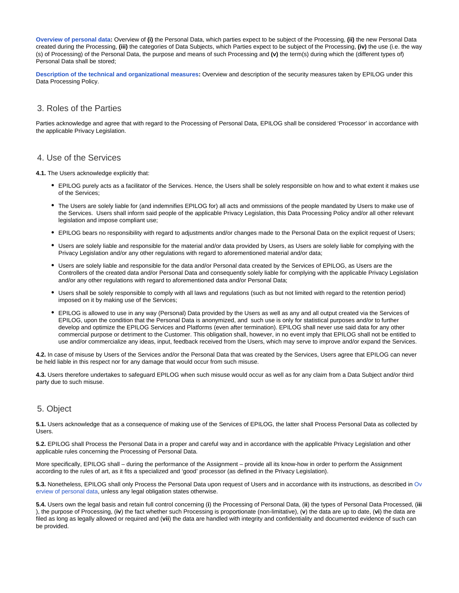**[Overview of personal data](https://epilogeeg.atlassian.net/wiki/external/3333554185/NDkzY2ZhNjIyYzI0NGQxZTljZmRlYTRlN2RiYjE1MmI?atlOrigin=eyJpIjoiMWY3MWE2NTM3MGMzNDc5NWEyYzQzMjlhNWYyOTQ1NDAiLCJwIjoiYyJ9):** Overview of **(i)** the Personal Data, which parties expect to be subject of the Processing, **(ii)** the new Personal Data created during the Processing, **(iii)** the categories of Data Subjects, which Parties expect to be subject of the Processing, **(iv)** the use (i.e. the way (s) of Processing) of the Personal Data, the purpose and means of such Processing and **(v)** the term(s) during which the (different types of) Personal Data shall be stored;

**[Description of the technical and organizational measures](https://epilogeeg.atlassian.net/wiki/external/3333652495/YjQ1YTY1NDkzYmRkNDgxMzgxYTRkMmJhNzUwNWFhZDU?atlOrigin=eyJpIjoiYTA4ZWYwZWI5NzhiNDg0MTk2NzI3YjY1YjM1YTlhYWMiLCJwIjoiYyJ9):** Overview and description of the security measures taken by EPILOG under this Data Processing Policy.

#### 3. Roles of the Parties

Parties acknowledge and agree that with regard to the Processing of Personal Data, EPILOG shall be considered 'Processor' in accordance with the applicable Privacy Legislation.

#### 4. Use of the Services

**4.1.** The Users acknowledge explicitly that:

- EPILOG purely acts as a facilitator of the Services. Hence, the Users shall be solely responsible on how and to what extent it makes use of the Services;
- The Users are solely liable for (and indemnifies EPILOG for) all acts and ommissions of the people mandated by Users to make use of the Services. Users shall inform said people of the applicable Privacy Legislation, this Data Processing Policy and/or all other relevant legislation and impose compliant use;
- EPILOG bears no responsibility with regard to adjustments and/or changes made to the Personal Data on the explicit request of Users;
- Users are solely liable and responsible for the material and/or data provided by Users, as Users are solely liable for complying with the Privacy Legislation and/or any other regulations with regard to aforementioned material and/or data;
- Users are solely liable and responsible for the data and/or Personal data created by the Services of EPILOG, as Users are the Controllers of the created data and/or Personal Data and consequently solely liable for complying with the applicable Privacy Legislation and/or any other regulations with regard to aforementioned data and/or Personal Data;
- Users shall be solely responsible to comply with all laws and regulations (such as but not limited with regard to the retention period) imposed on it by making use of the Services;
- EPILOG is allowed to use in any way (Personal) Data provided by the Users as well as any and all output created via the Services of EPILOG, upon the condition that the Personal Data is anonymized, and such use is only for statistical purposes and/or to further develop and optimize the EPILOG Services and Platforms (even after termination). EPILOG shall never use said data for any other commercial purpose or detriment to the Customer. This obligation shall, however, in no event imply that EPILOG shall not be entitled to use and/or commercialize any ideas, input, feedback received from the Users, which may serve to improve and/or expand the Services.

**4.2.** In case of misuse by Users of the Services and/or the Personal Data that was created by the Services, Users agree that EPILOG can never be held liable in this respect nor for any damage that would occur from such misuse.

**4.3.** Users therefore undertakes to safeguard EPILOG when such misuse would occur as well as for any claim from a Data Subject and/or third party due to such misuse.

# 5. Object

**5.1.** Users acknowledge that as a consequence of making use of the Services of EPILOG, the latter shall Process Personal Data as collected by Users.

**5.2.** EPILOG shall Process the Personal Data in a proper and careful way and in accordance with the applicable Privacy Legislation and other applicable rules concerning the Processing of Personal Data.

More specifically, EPILOG shall – during the performance of the Assignment – provide all its know-how in order to perform the Assignment according to the rules of art, as it fits a specialized and 'good' processor (as defined in the Privacy Legislation).

**5.3.** Nonetheless, EPILOG shall only Process the Personal Data upon request of Users and in accordance with its instructions, as described in [Ov](https://epilogeeg.atlassian.net/wiki/external/3333554185/NDkzY2ZhNjIyYzI0NGQxZTljZmRlYTRlN2RiYjE1MmI?atlOrigin=eyJpIjoiMWY3MWE2NTM3MGMzNDc5NWEyYzQzMjlhNWYyOTQ1NDAiLCJwIjoiYyJ9) [erview of personal data,](https://epilogeeg.atlassian.net/wiki/external/3333554185/NDkzY2ZhNjIyYzI0NGQxZTljZmRlYTRlN2RiYjE1MmI?atlOrigin=eyJpIjoiMWY3MWE2NTM3MGMzNDc5NWEyYzQzMjlhNWYyOTQ1NDAiLCJwIjoiYyJ9) unless any legal obligation states otherwise.

**5.4.** Users own the legal basis and retain full control concerning (**i**) the Processing of Personal Data, (**ii**) the types of Personal Data Processed, (**iii** ), the purpose of Processing, (**iv**) the fact whether such Processing is proportionate (non-limitative), (**v**) the data are up to date, (**vi**) the data are filed as long as legally allowed or required and (**vii**) the data are handled with integrity and confidentiality and documented evidence of such can be provided.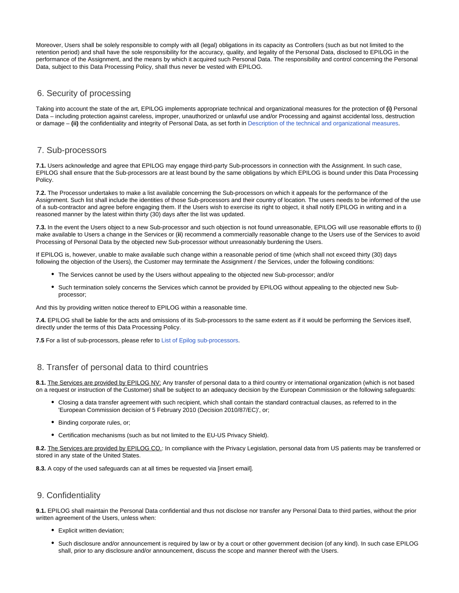Moreover, Users shall be solely responsible to comply with all (legal) obligations in its capacity as Controllers (such as but not limited to the retention period) and shall have the sole responsibility for the accuracy, quality, and legality of the Personal Data, disclosed to EPILOG in the performance of the Assignment, and the means by which it acquired such Personal Data. The responsibility and control concerning the Personal Data, subject to this Data Processing Policy, shall thus never be vested with EPILOG.

### 6. Security of processing

Taking into account the state of the art, EPILOG implements appropriate technical and organizational measures for the protection of **(i)** Personal Data – including protection against careless, improper, unauthorized or unlawful use and/or Processing and against accidental loss, destruction or damage – **(ii)** the confidentiality and integrity of Personal Data, as set forth in [Description of the technical and organizational measures.](https://epilogeeg.atlassian.net/wiki/external/3333652495/YjQ1YTY1NDkzYmRkNDgxMzgxYTRkMmJhNzUwNWFhZDU?atlOrigin=eyJpIjoiYTA4ZWYwZWI5NzhiNDg0MTk2NzI3YjY1YjM1YTlhYWMiLCJwIjoiYyJ9)

### 7. Sub-processors

**7.1.** Users acknowledge and agree that EPILOG may engage third-party Sub-processors in connection with the Assignment. In such case, EPILOG shall ensure that the Sub-processors are at least bound by the same obligations by which EPILOG is bound under this Data Processing Policy.

**7.2.** The Processor undertakes to make a list available concerning the Sub-processors on which it appeals for the performance of the Assignment. Such list shall include the identities of those Sub-processors and their country of location. The users needs to be informed of the use of a sub-contractor and agree before engaging them. If the Users wish to exercise its right to object, it shall notify EPILOG in writing and in a reasoned manner by the latest within thirty (30) days after the list was updated.

**7.3.** In the event the Users object to a new Sub-processor and such objection is not found unreasonable, EPILOG will use reasonable efforts to (**i**) make available to Users a change in the Services or (**ii**) recommend a commercially reasonable change to the Users use of the Services to avoid Processing of Personal Data by the objected new Sub-processor without unreasonably burdening the Users.

If EPILOG is, however, unable to make available such change within a reasonable period of time (which shall not exceed thirty (30) days following the objection of the Users), the Customer may terminate the Assignment / the Services, under the following conditions:

- The Services cannot be used by the Users without appealing to the objected new Sub-processor; and/or
- Such termination solely concerns the Services which cannot be provided by EPILOG without appealing to the objected new Subprocessor;

And this by providing written notice thereof to EPILOG within a reasonable time.

**7.4.** EPILOG shall be liable for the acts and omissions of its Sub-processors to the same extent as if it would be performing the Services itself, directly under the terms of this Data Processing Policy.

**7.5** For a list of sub-processors, please refer to [List of Epilog sub-processors.](https://epilogeeg.atlassian.net/wiki/external/3334209556/YWJkNDRhNTQzMmNmNGYxOGE1NDI2YjRiMmU3MTRhYzk?atlOrigin=eyJpIjoiMGNjOTk3Y2Q2MGIwNGIzYWEyMTcyMWY2ODZhOTY4MGMiLCJwIjoiYyJ9)

#### 8. Transfer of personal data to third countries

8.1. The Services are provided by EPILOG NV: Any transfer of personal data to a third country or international organization (which is not based on a request or instruction of the Customer) shall be subject to an adequacy decision by the European Commission or the following safeguards:

- Closing a data transfer agreement with such recipient, which shall contain the standard contractual clauses, as referred to in the 'European Commission decision of 5 February 2010 (Decision 2010/87/EC)', or;
- Binding corporate rules, or;
- Certification mechanisms (such as but not limited to the EU-US Privacy Shield).

**8.2.** The Services are provided by EPILOG CO.: In compliance with the Privacy Legislation, personal data from US patients may be transferred or stored in any state of the United States.

**8.3.** A copy of the used safeguards can at all times be requested via [insert email].

### 9. Confidentiality

**9.1.** EPILOG shall maintain the Personal Data confidential and thus not disclose nor transfer any Personal Data to third parties, without the prior written agreement of the Users, unless when:

- Explicit written deviation;
- Such disclosure and/or announcement is required by law or by a court or other government decision (of any kind). In such case EPILOG shall, prior to any disclosure and/or announcement, discuss the scope and manner thereof with the Users.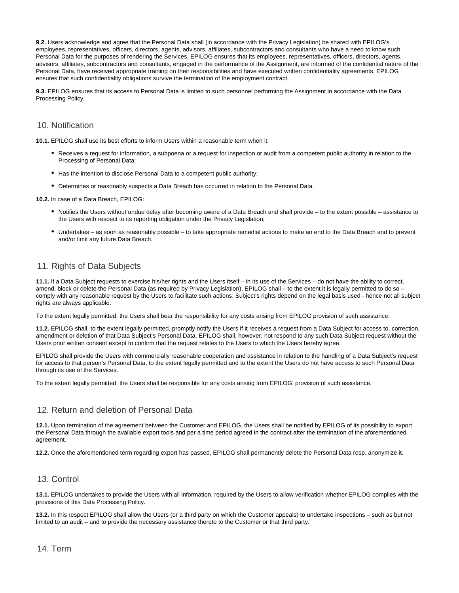**9.2.** Users acknowledge and agree that the Personal Data shall (in accordance with the Privacy Legislation) be shared with EPILOG's employees, representatives, officers, directors, agents, advisors, affiliates, subcontractors and consultants who have a need to know such Personal Data for the purposes of rendering the Services. EPILOG ensures that its employees, representatives, officers, directors, agents, advisors, affiliates, subcontractors and consultants, engaged in the performance of the Assignment, are informed of the confidential nature of the Personal Data, have received appropriate training on their responsibilities and have executed written confidentiality agreements. EPILOG ensures that such confidentiality obligations survive the termination of the employment contract.

**9.3.** EPILOG ensures that its access to Personal Data is limited to such personnel performing the Assignment in accordance with the Data Processing Policy.

#### 10. Notification

**10.1.** EPILOG shall use its best efforts to inform Users within a reasonable term when it:

- Receives a request for information, a subpoena or a request for inspection or audit from a competent public authority in relation to the Processing of Personal Data;
- Has the intention to disclose Personal Data to a competent public authority;
- Determines or reasonably suspects a Data Breach has occurred in relation to the Personal Data.

**10.2.** In case of a Data Breach, EPILOG:

- Notifies the Users without undue delay after becoming aware of a Data Breach and shall provide to the extent possible assistance to the Users with respect to its reporting obligation under the Privacy Legislation;
- Undertakes as soon as reasonably possible to take appropriate remedial actions to make an end to the Data Breach and to prevent and/or limit any future Data Breach.

# 11. Rights of Data Subjects

**11.1.** If a Data Subject requests to exercise his/her rights and the Users itself – in its use of the Services – do not have the ability to correct, amend, block or delete the Personal Data (as required by Privacy Legislation), EPILOG shall – to the extent it is legally permitted to do so – comply with any reasonable request by the Users to facilitate such actions. Subject's rights depend on the legal basis used - hence not all subject rights are always applicable.

To the extent legally permitted, the Users shall bear the responsibility for any costs arising from EPILOG provision of such assistance.

**11.2.** EPILOG shall, to the extent legally permitted, promptly notify the Users if it receives a request from a Data Subject for access to, correction, amendment or deletion of that Data Subject's Personal Data. EPILOG shall, however, not respond to any such Data Subject request without the Users prior written consent except to confirm that the request relates to the Users to which the Users hereby agree.

EPILOG shall provide the Users with commercially reasonable cooperation and assistance in relation to the handling of a Data Subject's request for access to that person's Personal Data, to the extent legally permitted and to the extent the Users do not have access to such Personal Data through its use of the Services.

To the extent legally permitted, the Users shall be responsible for any costs arising from EPILOG' provision of such assistance.

# 12. Return and deletion of Personal Data

**12.1.** Upon termination of the agreement between the Customer and EPILOG, the Users shall be notified by EPILOG of its possibility to export the Personal Data through the available export tools and per a time period agreed in the contract after the termination of the aforementioned agreement.

**12.2.** Once the aforementioned term regarding export has passed, EPILOG shall permanently delete the Personal Data resp. anonymize it.

# 13. Control

**13.1.** EPILOG undertakes to provide the Users with all information, required by the Users to allow verification whether EPILOG complies with the provisions of this Data Processing Policy.

**13.2.** In this respect EPILOG shall allow the Users (or a third party on which the Customer appeals) to undertake inspections – such as but not limited to an audit – and to provide the necessary assistance thereto to the Customer or that third party.